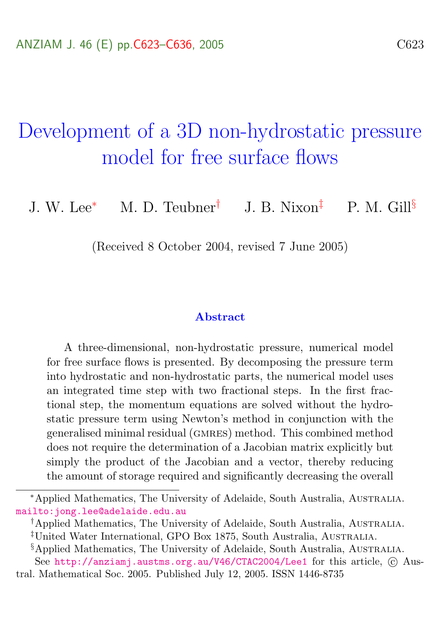# <span id="page-0-0"></span>Development of a 3D non-hydrostatic pressure model for free surface flows

J. W. Lee<sup>\*</sup> M. D. Teubner<sup>†</sup> J. B. Nixon<sup>‡</sup> P. M. Gill<sup>§</sup>

(Received 8 October 2004, revised 7 June 2005)

#### Abstract

A three-dimensional, non-hydrostatic pressure, numerical model for free surface flows is presented. By decomposing the pressure term into hydrostatic and non-hydrostatic parts, the numerical model uses an integrated time step with two fractional steps. In the first fractional step, the momentum equations are solved without the hydrostatic pressure term using Newton's method in conjunction with the generalised minimal residual (gmres) method. This combined method does not require the determination of a Jacobian matrix explicitly but simply the product of the Jacobian and a vector, thereby reducing the amount of storage required and significantly decreasing the overall

<sup>∗</sup>Applied Mathematics, The University of Adelaide, South Australia, Australia. <mailto:jong.lee@adelaide.edu.au>

<sup>†</sup>Applied Mathematics, The University of Adelaide, South Australia, Australia.

<sup>‡</sup>United Water International, GPO Box 1875, South Australia, Australia.

<sup>§</sup>Applied Mathematics, The University of Adelaide, South Australia, Australia.

See <http://anziamj.austms.org.au/V46/CTAC2004/Lee1> for this article,  $\odot$  Austral. Mathematical Soc. 2005. Published July 12, 2005. ISSN 1446-8735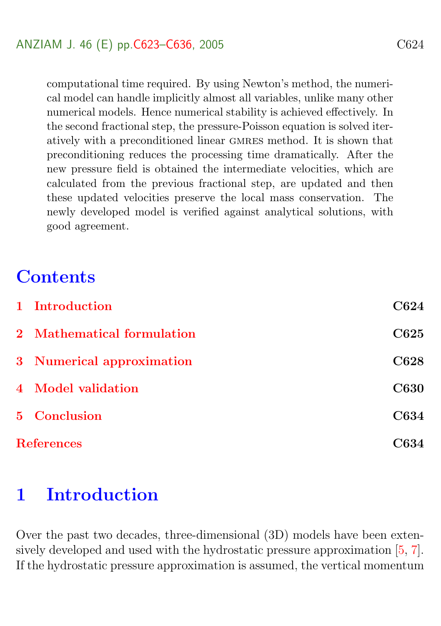<span id="page-1-1"></span>computational time required. By using Newton's method, the numerical model can handle implicitly almost all variables, unlike many other numerical models. Hence numerical stability is achieved effectively. In the second fractional step, the pressure-Poisson equation is solved iteratively with a preconditioned linear gmres method. It is shown that preconditioning reduces the processing time dramatically. After the new pressure field is obtained the intermediate velocities, which are calculated from the previous fractional step, are updated and then these updated velocities preserve the local mass conservation. The newly developed model is verified against analytical solutions, with good agreement.

## **Contents**

|                   | 1 Introduction             | C624        |
|-------------------|----------------------------|-------------|
|                   | 2 Mathematical formulation | C625        |
|                   | 3 Numerical approximation  | C628        |
|                   | 4 Model validation         | <b>C630</b> |
|                   | 5 Conclusion               | <b>C634</b> |
| <b>References</b> |                            | C634        |

### <span id="page-1-0"></span>1 Introduction

Over the past two decades, three-dimensional (3D) models have been extensively developed and used with the hydrostatic pressure approximation [\[5,](#page-12-0) [7\]](#page-12-1). If the hydrostatic pressure approximation is assumed, the vertical momentum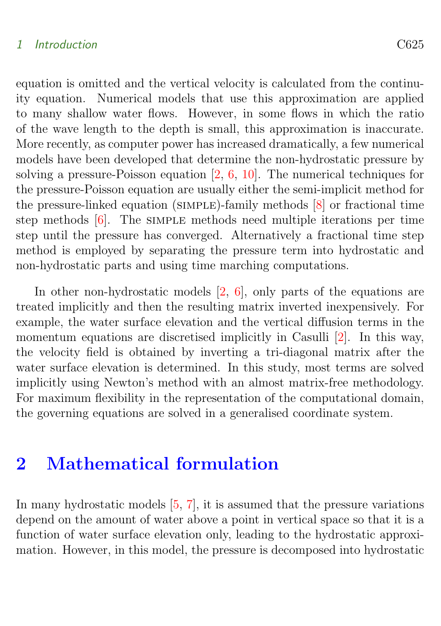#### <span id="page-2-1"></span>1 Introduction C625

equation is omitted and the vertical velocity is calculated from the continuity equation. Numerical models that use this approximation are applied to many shallow water flows. However, in some flows in which the ratio of the wave length to the depth is small, this approximation is inaccurate. More recently, as computer power has increased dramatically, a few numerical models have been developed that determine the non-hydrostatic pressure by solving a pressure-Poisson equation [\[2,](#page-12-2) [6,](#page-12-3) [10\]](#page-12-4). The numerical techniques for the pressure-Poisson equation are usually either the semi-implicit method for the pressure-linked equation (simple)-family methods [\[8\]](#page-12-5) or fractional time step methods  $[6]$ . The simple methods need multiple iterations per time step until the pressure has converged. Alternatively a fractional time step method is employed by separating the pressure term into hydrostatic and non-hydrostatic parts and using time marching computations.

In other non-hydrostatic models [\[2,](#page-12-2) [6\]](#page-12-3), only parts of the equations are treated implicitly and then the resulting matrix inverted inexpensively. For example, the water surface elevation and the vertical diffusion terms in the momentum equations are discretised implicitly in Casulli [\[2\]](#page-12-2). In this way, the velocity field is obtained by inverting a tri-diagonal matrix after the water surface elevation is determined. In this study, most terms are solved implicitly using Newton's method with an almost matrix-free methodology. For maximum flexibility in the representation of the computational domain, the governing equations are solved in a generalised coordinate system.

### <span id="page-2-0"></span>2 Mathematical formulation

In many hydrostatic models [\[5,](#page-12-0) [7\]](#page-12-1), it is assumed that the pressure variations depend on the amount of water above a point in vertical space so that it is a function of water surface elevation only, leading to the hydrostatic approximation. However, in this model, the pressure is decomposed into hydrostatic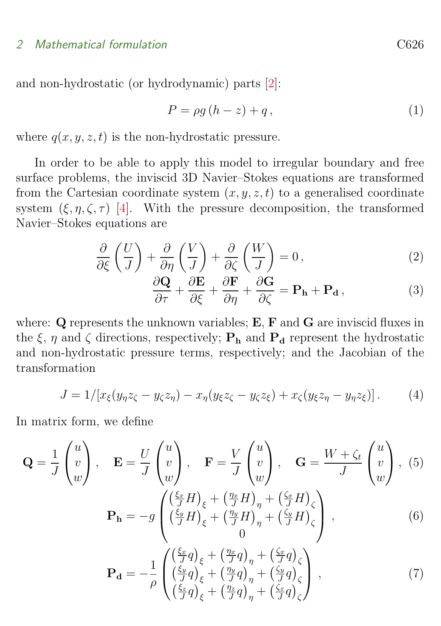#### <span id="page-3-2"></span>2 Mathematical formulation C626

and non-hydrostatic (or hydrodynamic) parts [\[2\]](#page-12-2):

$$
P = \rho g \left( h - z \right) + q \,, \tag{1}
$$

where  $q(x, y, z, t)$  is the non-hydrostatic pressure.

In order to be able to apply this model to irregular boundary and free surface problems, the inviscid 3D Navier–Stokes equations are transformed from the Cartesian coordinate system  $(x, y, z, t)$  to a generalised coordinate system  $(\xi, \eta, \zeta, \tau)$  [\[4\]](#page-12-6). With the pressure decomposition, the transformed Navier–Stokes equations are

$$
\frac{\partial}{\partial \xi} \left( \frac{U}{J} \right) + \frac{\partial}{\partial \eta} \left( \frac{V}{J} \right) + \frac{\partial}{\partial \zeta} \left( \frac{W}{J} \right) = 0, \tag{2}
$$

<span id="page-3-1"></span><span id="page-3-0"></span>
$$
\frac{\partial \mathbf{Q}}{\partial \tau} + \frac{\partial \mathbf{E}}{\partial \xi} + \frac{\partial \mathbf{F}}{\partial \eta} + \frac{\partial \mathbf{G}}{\partial \zeta} = \mathbf{P}_{\mathbf{h}} + \mathbf{P}_{\mathbf{d}}\,,\tag{3}
$$

where: **Q** represents the unknown variables; **E**, **F** and **G** are inviscid fluxes in the  $\xi$ ,  $\eta$  and  $\zeta$  directions, respectively;  $P_h$  and  $P_d$  represent the hydrostatic and non-hydrostatic pressure terms, respectively; and the Jacobian of the transformation

$$
J = 1/[x_{\xi}(y_{\eta}z_{\zeta} - y_{\zeta}z_{\eta}) - x_{\eta}(y_{\xi}z_{\zeta} - y_{\zeta}z_{\xi}) + x_{\zeta}(y_{\xi}z_{\eta} - y_{\eta}z_{\xi})]. \tag{4}
$$

In matrix form, we define

$$
\mathbf{Q} = \frac{1}{J} \begin{pmatrix} u \\ v \\ w \end{pmatrix}, \quad \mathbf{E} = \frac{U}{J} \begin{pmatrix} u \\ v \\ w \end{pmatrix}, \quad \mathbf{F} = \frac{V}{J} \begin{pmatrix} u \\ v \\ w \end{pmatrix}, \quad \mathbf{G} = \frac{W + \zeta_t}{J} \begin{pmatrix} u \\ v \\ w \end{pmatrix}, \quad (5)
$$
\n
$$
\mathbf{P_h} = -g \begin{pmatrix} \left(\frac{\zeta_x}{J} H\right)_{\xi} + \left(\frac{\eta_x}{J} H\right)_{\eta} + \left(\frac{\zeta_x}{J} H\right)_{\zeta} \\ \left(\frac{\zeta_y}{J} H\right)_{\xi} + \left(\frac{\eta_y}{J} H\right)_{\eta} + \left(\frac{\zeta_y}{J} H\right)_{\zeta} \\ 0 \end{pmatrix}, \quad (6)
$$
\n
$$
\mathbf{P_d} = -\frac{1}{\rho} \begin{pmatrix} \left(\frac{\zeta_x}{J} q\right)_{\xi} + \left(\frac{\eta_x}{J} q\right)_{\eta} + \left(\frac{\zeta_x}{J} q\right)_{\zeta} \\ \left(\frac{\zeta_y}{J} q\right)_{\xi} + \left(\frac{\eta_y}{J} q\right)_{\eta} + \left(\frac{\zeta_y}{J} q\right)_{\zeta} \\ \left(\frac{\zeta_z}{J} q\right)_{\xi} + \left(\frac{\eta_z}{J} q\right)_{\eta} + \left(\frac{\zeta_y}{J} q\right)_{\zeta} \end{pmatrix}, \quad (7)
$$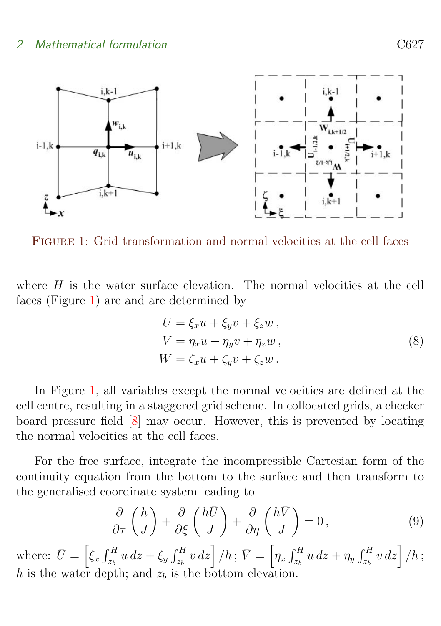<span id="page-4-2"></span>

<span id="page-4-0"></span>Figure 1: Grid transformation and normal velocities at the cell faces

where  $H$  is the water surface elevation. The normal velocities at the cell faces (Figure [1\)](#page-4-0) are and are determined by

$$
U = \xi_x u + \xi_y v + \xi_z w,
$$
  
\n
$$
V = \eta_x u + \eta_y v + \eta_z w,
$$
  
\n
$$
W = \zeta_x u + \zeta_y v + \zeta_z w.
$$
\n(8)

In Figure [1,](#page-4-0) all variables except the normal velocities are defined at the cell centre, resulting in a staggered grid scheme. In collocated grids, a checker board pressure field [\[8\]](#page-12-5) may occur. However, this is prevented by locating the normal velocities at the cell faces.

For the free surface, integrate the incompressible Cartesian form of the continuity equation from the bottom to the surface and then transform to the generalised coordinate system leading to

<span id="page-4-1"></span>
$$
\frac{\partial}{\partial \tau} \left( \frac{h}{J} \right) + \frac{\partial}{\partial \xi} \left( \frac{h\bar{U}}{J} \right) + \frac{\partial}{\partial \eta} \left( \frac{h\bar{V}}{J} \right) = 0, \tag{9}
$$

where:  $\bar{U} = \left[ \xi_x \int_{z_b}^H u \, dz + \xi_y \int_{z_b}^H v \, dz \right] / h$ ;  $\bar{V} = \left[ \eta_x \int_{z_b}^H u \, dz + \eta_y \int_{z_b}^H v \, dz \right] / h$ ; h is the water depth; and  $z<sub>b</sub>$  is the bottom elevation.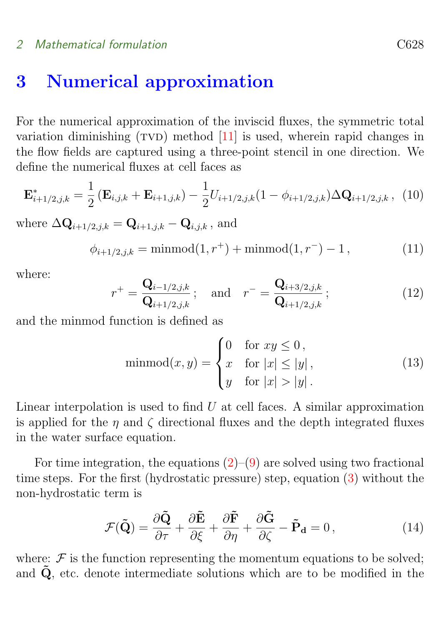#### <span id="page-5-1"></span>2 Mathematical formulation C628

### <span id="page-5-0"></span>3 Numerical approximation

For the numerical approximation of the inviscid fluxes, the symmetric total variation diminishing  $(TVD)$  method  $[11]$  is used, wherein rapid changes in the flow fields are captured using a three-point stencil in one direction. We define the numerical fluxes at cell faces as

$$
\mathbf{E}_{i+1/2,j,k}^{*} = \frac{1}{2} \left( \mathbf{E}_{i,j,k} + \mathbf{E}_{i+1,j,k} \right) - \frac{1}{2} U_{i+1/2,j,k} (1 - \phi_{i+1/2,j,k}) \Delta \mathbf{Q}_{i+1/2,j,k} , \tag{10}
$$

where  $\Delta \mathbf{Q}_{i+1/2,i,k} = \mathbf{Q}_{i+1,i,k} - \mathbf{Q}_{i,i,k}$ , and

$$
\phi_{i+1/2,j,k} = \text{minmod}(1, r^+) + \text{minmod}(1, r^-) - 1,\tag{11}
$$

where:

$$
r^{+} = \frac{\mathbf{Q}_{i-1/2,j,k}}{\mathbf{Q}_{i+1/2,j,k}}; \text{ and } r^{-} = \frac{\mathbf{Q}_{i+3/2,j,k}}{\mathbf{Q}_{i+1/2,j,k}}; \tag{12}
$$

and the minmod function is defined as

$$
\text{minmod}(x, y) = \begin{cases} 0 & \text{for } xy \le 0, \\ x & \text{for } |x| \le |y| \\ y & \text{for } |x| > |y| \end{cases} \tag{13}
$$

Linear interpolation is used to find  $U$  at cell faces. A similar approximation is applied for the  $\eta$  and  $\zeta$  directional fluxes and the depth integrated fluxes in the water surface equation.

For time integration, the equations  $(2)$ – $(9)$  are solved using two fractional time steps. For the first (hydrostatic pressure) step, equation [\(3\)](#page-3-1) without the non-hydrostatic term is

$$
\mathcal{F}(\tilde{\mathbf{Q}}) = \frac{\partial \tilde{\mathbf{Q}}}{\partial \tau} + \frac{\partial \tilde{\mathbf{E}}}{\partial \xi} + \frac{\partial \tilde{\mathbf{F}}}{\partial \eta} + \frac{\partial \tilde{\mathbf{G}}}{\partial \zeta} - \tilde{\mathbf{P}}_{\mathbf{d}} = 0, \qquad (14)
$$

where:  $\mathcal F$  is the function representing the momentum equations to be solved; and  $\dot{Q}$ , etc. denote intermediate solutions which are to be modified in the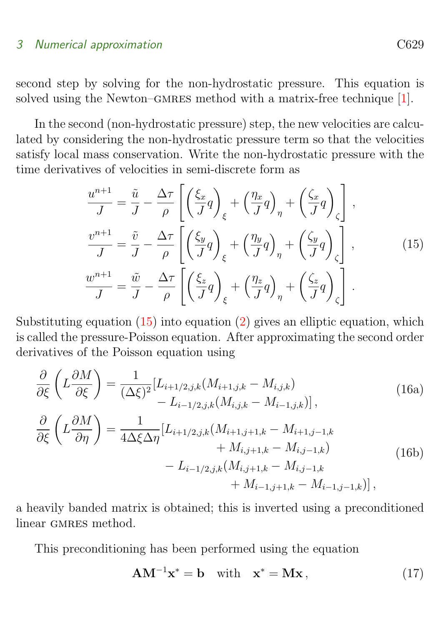#### <span id="page-6-1"></span>3 Numerical approximation C629

second step by solving for the non-hydrostatic pressure. This equation is solved using the Newton–GMRES method with a matrix-free technique [\[1\]](#page-11-2).

In the second (non-hydrostatic pressure) step, the new velocities are calculated by considering the non-hydrostatic pressure term so that the velocities satisfy local mass conservation. Write the non-hydrostatic pressure with the time derivatives of velocities in semi-discrete form as

<span id="page-6-0"></span>
$$
\frac{u^{n+1}}{J} = \frac{\tilde{u}}{J} - \frac{\Delta\tau}{\rho} \left[ \left( \frac{\xi_x}{J} q \right)_{\xi} + \left( \frac{\eta_x}{J} q \right)_{\eta} + \left( \frac{\zeta_x}{J} q \right)_{\zeta} \right],
$$
  

$$
\frac{v^{n+1}}{J} = \frac{\tilde{v}}{J} - \frac{\Delta\tau}{\rho} \left[ \left( \frac{\xi_y}{J} q \right)_{\xi} + \left( \frac{\eta_y}{J} q \right)_{\eta} + \left( \frac{\zeta_y}{J} q \right)_{\zeta} \right],
$$
(15)  

$$
\frac{w^{n+1}}{J} = \frac{\tilde{w}}{J} - \frac{\Delta\tau}{\rho} \left[ \left( \frac{\xi_z}{J} q \right)_{\xi} + \left( \frac{\eta_z}{J} q \right)_{\eta} + \left( \frac{\zeta_z}{J} q \right)_{\zeta} \right].
$$

Substituting equation  $(15)$  into equation  $(2)$  gives an elliptic equation, which is called the pressure-Poisson equation. After approximating the second order derivatives of the Poisson equation using

$$
\frac{\partial}{\partial \xi} \left( L \frac{\partial M}{\partial \xi} \right) = \frac{1}{(\Delta \xi)^2} [L_{i+1/2,j,k}(M_{i+1,j,k} - M_{i,j,k}) \n- L_{i-1/2,j,k}(M_{i,j,k} - M_{i-1,j,k})],
$$
\n(16a)  
\n
$$
\frac{\partial}{\partial \xi} \left( L \frac{\partial M}{\partial \eta} \right) = \frac{1}{4\Delta \xi \Delta \eta} [L_{i+1/2,j,k}(M_{i+1,j+1,k} - M_{i+1,j-1,k} \n+ M_{i,j+1,k} - M_{i,j-1,k}) \n- L_{i-1/2,j,k}(M_{i,j+1,k} - M_{i,j-1,k} \n+ M_{i-1,j+1,k} - M_{i-1,j-1,k})],
$$
\n(16b)

a heavily banded matrix is obtained; this is inverted using a preconditioned linear GMRES method.

This preconditioning has been performed using the equation

$$
AM^{-1}x^* = b \quad \text{with} \quad x^* = Mx, \tag{17}
$$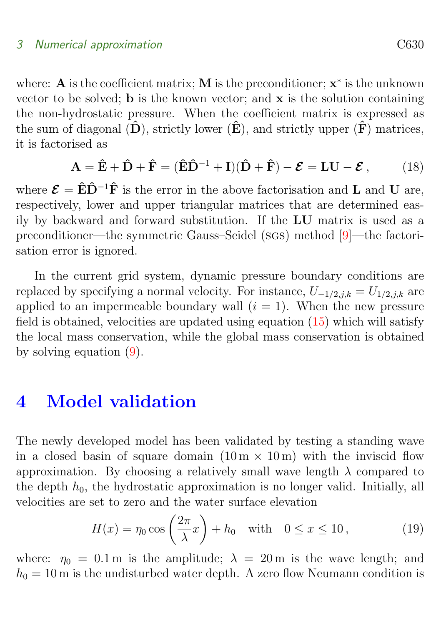#### <span id="page-7-1"></span>3 Numerical approximation C630

where: **A** is the coefficient matrix; **M** is the preconditioner;  $x^*$  is the unknown vector to be solved; b is the known vector; and x is the solution containing the non-hydrostatic pressure. When the coefficient matrix is expressed as the sum of diagonal  $(\hat{\mathbf{D}})$ , strictly lower  $(\hat{\mathbf{E}})$ , and strictly upper  $(\hat{\mathbf{F}})$  matrices, it is factorised as

$$
\mathbf{A} = \hat{\mathbf{E}} + \hat{\mathbf{D}} + \hat{\mathbf{F}} = (\hat{\mathbf{E}}\hat{\mathbf{D}}^{-1} + \mathbf{I})(\hat{\mathbf{D}} + \hat{\mathbf{F}}) - \mathbf{\mathcal{E}} = \mathbf{L}\mathbf{U} - \mathbf{\mathcal{E}},
$$
 (18)

where  $\mathcal{E} = \hat{E}\hat{D}^{-1}\hat{F}$  is the error in the above factorisation and **L** and **U** are, respectively, lower and upper triangular matrices that are determined easily by backward and forward substitution. If the LU matrix is used as a preconditioner—the symmetric Gauss–Seidel (sgs) method [\[9\]](#page-12-7)—the factorisation error is ignored.

In the current grid system, dynamic pressure boundary conditions are replaced by specifying a normal velocity. For instance,  $U_{-1/2,j,k} = U_{1/2,j,k}$  are applied to an impermeable boundary wall  $(i = 1)$ . When the new pressure field is obtained, velocities are updated using equation [\(15\)](#page-6-0) which will satisfy the local mass conservation, while the global mass conservation is obtained by solving equation [\(9\)](#page-4-1).

### <span id="page-7-0"></span>4 Model validation

The newly developed model has been validated by testing a standing wave in a closed basin of square domain  $(10 \text{ m} \times 10 \text{ m})$  with the inviscid flow approximation. By choosing a relatively small wave length  $\lambda$  compared to the depth  $h_0$ , the hydrostatic approximation is no longer valid. Initially, all velocities are set to zero and the water surface elevation

$$
H(x) = \eta_0 \cos\left(\frac{2\pi}{\lambda}x\right) + h_0 \quad \text{with} \quad 0 \le x \le 10\,,\tag{19}
$$

where:  $\eta_0 = 0.1 \text{ m}$  is the amplitude;  $\lambda = 20 \text{ m}$  is the wave length; and  $h_0 = 10$  m is the undisturbed water depth. A zero flow Neumann condition is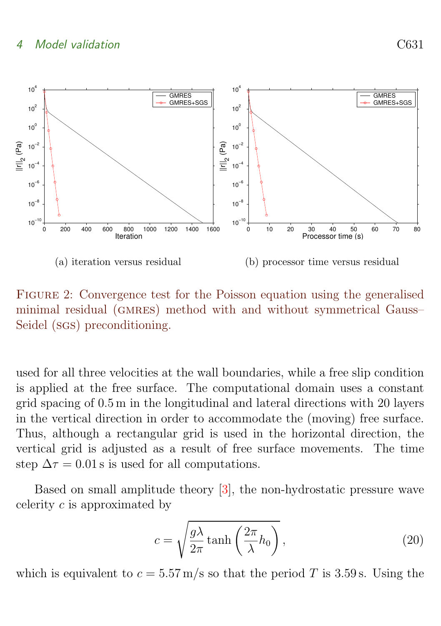#### <span id="page-8-3"></span>4 Model validation C631

<span id="page-8-1"></span>

<span id="page-8-2"></span><span id="page-8-0"></span>Figure 2: Convergence test for the Poisson equation using the generalised minimal residual (GMRES) method with and without symmetrical Gauss– Seidel (sgs) preconditioning.

used for all three velocities at the wall boundaries, while a free slip condition is applied at the free surface. The computational domain uses a constant grid spacing of 0.5 m in the longitudinal and lateral directions with 20 layers in the vertical direction in order to accommodate the (moving) free surface. Thus, although a rectangular grid is used in the horizontal direction, the vertical grid is adjusted as a result of free surface movements. The time step  $\Delta \tau = 0.01$  s is used for all computations.

Based on small amplitude theory [\[3\]](#page-12-8), the non-hydrostatic pressure wave celerity c is approximated by

$$
c = \sqrt{\frac{g\lambda}{2\pi}\tanh\left(\frac{2\pi}{\lambda}h_0\right)},
$$
\n(20)

which is equivalent to  $c = 5.57$  m/s so that the period T is 3.59 s. Using the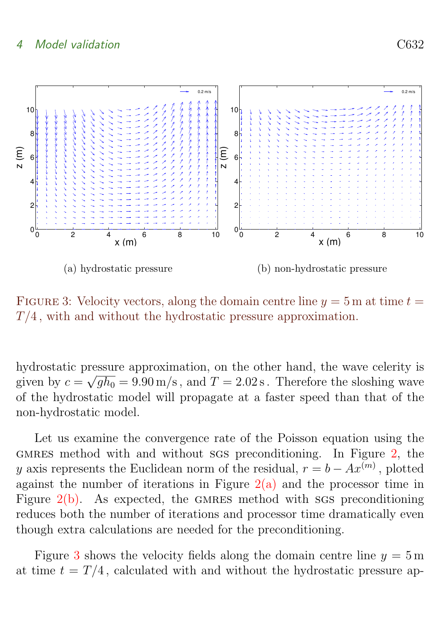

<span id="page-9-0"></span>FIGURE 3: Velocity vectors, along the domain centre line  $y = 5$  m at time  $t =$  $T/4$ , with and without the hydrostatic pressure approximation.

hydrostatic pressure approximation, on the other hand, the wave celerity is given by  $c = \sqrt{gh_0} = 9.90 \,\mathrm{m/s}$ , and  $T = 2.02 \,\mathrm{s}$ . Therefore the sloshing wave of the hydrostatic model will propagate at a faster speed than that of the non-hydrostatic model.

Let us examine the convergence rate of the Poisson equation using the GMRES method with and without sgs preconditioning. In Figure  $2$ , the y axis represents the Euclidean norm of the residual,  $r = b - Ax^{(m)}$ , plotted against the number of iterations in Figure  $2(a)$  and the processor time in Figure  $2(b)$ . As expected, the GMRES method with sgs preconditioning reduces both the number of iterations and processor time dramatically even though extra calculations are needed for the preconditioning.

Figure [3](#page-9-0) shows the velocity fields along the domain centre line  $y = 5 \text{ m}$ at time  $t = T/4$ , calculated with and without the hydrostatic pressure ap-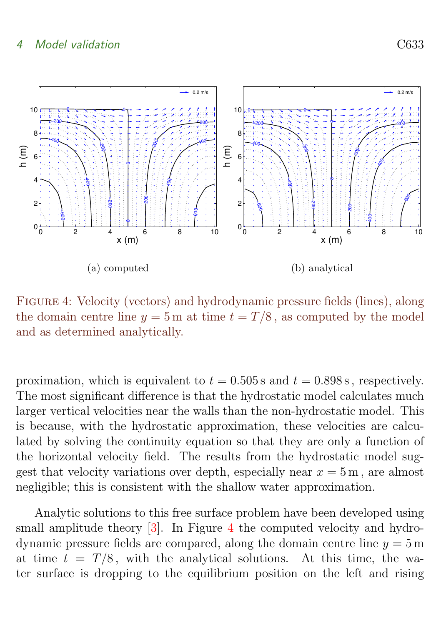#### <span id="page-10-1"></span>4 Model validation C633



<span id="page-10-0"></span>Figure 4: Velocity (vectors) and hydrodynamic pressure fields (lines), along the domain centre line  $y = 5$  m at time  $t = T/8$ , as computed by the model and as determined analytically.

proximation, which is equivalent to  $t = 0.505$  s and  $t = 0.898$  s, respectively. The most significant difference is that the hydrostatic model calculates much larger vertical velocities near the walls than the non-hydrostatic model. This is because, with the hydrostatic approximation, these velocities are calculated by solving the continuity equation so that they are only a function of the horizontal velocity field. The results from the hydrostatic model suggest that velocity variations over depth, especially near  $x = 5$  m, are almost negligible; this is consistent with the shallow water approximation.

Analytic solutions to this free surface problem have been developed using small amplitude theory [\[3\]](#page-12-8). In Figure [4](#page-10-0) the computed velocity and hydrodynamic pressure fields are compared, along the domain centre line  $y = 5$  m at time  $t = T/8$ , with the analytical solutions. At this time, the water surface is dropping to the equilibrium position on the left and rising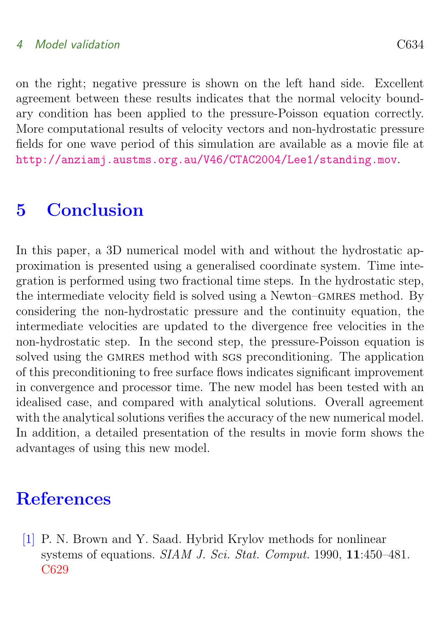#### 4 Model validation C634

on the right; negative pressure is shown on the left hand side. Excellent agreement between these results indicates that the normal velocity boundary condition has been applied to the pressure-Poisson equation correctly. More computational results of velocity vectors and non-hydrostatic pressure fields for one wave period of this simulation are available as a movie file at <http://anziamj.austms.org.au/V46/CTAC2004/Lee1/standing.mov>.

# <span id="page-11-1"></span>5 Conclusion

In this paper, a 3D numerical model with and without the hydrostatic approximation is presented using a generalised coordinate system. Time integration is performed using two fractional time steps. In the hydrostatic step, the intermediate velocity field is solved using a Newton–GMRES method. By considering the non-hydrostatic pressure and the continuity equation, the intermediate velocities are updated to the divergence free velocities in the non-hydrostatic step. In the second step, the pressure-Poisson equation is solved using the GMRES method with sgs preconditioning. The application of this preconditioning to free surface flows indicates significant improvement in convergence and processor time. The new model has been tested with an idealised case, and compared with analytical solutions. Overall agreement with the analytical solutions verifies the accuracy of the new numerical model. In addition, a detailed presentation of the results in movie form shows the advantages of using this new model.

## References

<span id="page-11-2"></span><span id="page-11-0"></span>[1] P. N. Brown and Y. Saad. Hybrid Krylov methods for nonlinear systems of equations. SIAM J. Sci. Stat. Comput. 1990, 11:450–481. [C629](#page-6-1)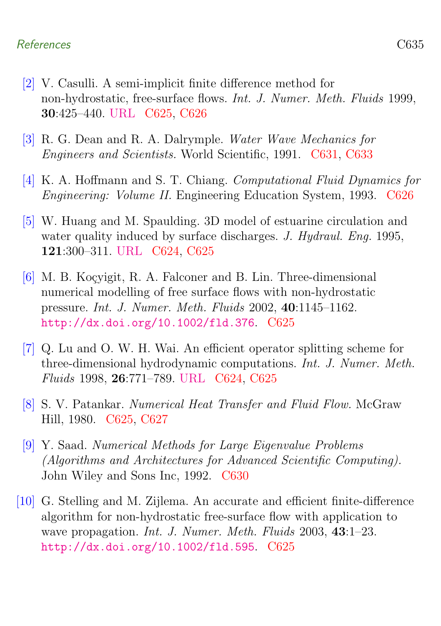#### References C635

- <span id="page-12-2"></span>[2] V. Casulli. A semi-implicit finite difference method for non-hydrostatic, free-surface flows. Int. J. Numer. Meth. Fluids 1999, 30:425–440. [URL](http://dx.doi.org/10.1002/(SICI)1097-0363(19990630)30:4<425::AID-FLD847>3.0.CO;2-D) [C625,](#page-2-1) [C626](#page-3-2)
- <span id="page-12-8"></span>[3] R. G. Dean and R. A. Dalrymple. Water Wave Mechanics for Engineers and Scientists. World Scientific, 1991. [C631,](#page-8-3) [C633](#page-10-1)
- <span id="page-12-6"></span>[4] K. A. Hoffmann and S. T. Chiang. Computational Fluid Dynamics for Engineering: Volume II. Engineering Education System, 1993. [C626](#page-3-2)
- <span id="page-12-0"></span>[5] W. Huang and M. Spaulding. 3D model of estuarine circulation and water quality induced by surface discharges. J. Hydraul. Eng. 1995, 121:300–311. [URL](http://dx.doi.org/10.1061/(ASCE)0733-9429(1995)121:4(300)) [C624,](#page-1-1) [C625](#page-2-1)
- <span id="page-12-3"></span>[6] M. B. Koçvigit, R. A. Falconer and B. Lin. Three-dimensional numerical modelling of free surface flows with non-hydrostatic pressure. Int. J. Numer. Meth. Fluids 2002, 40:1145–1162. <http://dx.doi.org/10.1002/fld.376>. [C625](#page-2-1)
- <span id="page-12-1"></span>[7] Q. Lu and O. W. H. Wai. An efficient operator splitting scheme for three-dimensional hydrodynamic computations. Int. J. Numer. Meth. Fluids 1998, 26:771–789. [URL](http://dx.doi.org/10.1002/(SICI)1097-0363(19980415)26:7<771::AID-FLD672>3.0.CO;2-7) [C624,](#page-1-1) [C625](#page-2-1)
- <span id="page-12-5"></span>[8] S. V. Patankar. Numerical Heat Transfer and Fluid Flow. McGraw Hill, 1980. [C625,](#page-2-1) [C627](#page-4-2)
- <span id="page-12-7"></span>[9] Y. Saad. Numerical Methods for Large Eigenvalue Problems (Algorithms and Architectures for Advanced Scientific Computing). John Wiley and Sons Inc, 1992. [C630](#page-7-1)
- <span id="page-12-4"></span>[10] G. Stelling and M. Zijlema. An accurate and efficient finite-difference algorithm for non-hydrostatic free-surface flow with application to wave propagation. *Int. J. Numer. Meth. Fluids* 2003, 43:1-23. <http://dx.doi.org/10.1002/fld.595>. [C625](#page-2-1)